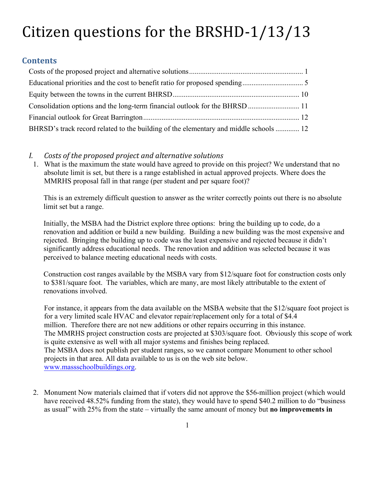# Citizen questions for the BRSHD-1/13/13

# **Contents**

| Consolidation options and the long-term financial outlook for the BHRSD  11           |  |
|---------------------------------------------------------------------------------------|--|
|                                                                                       |  |
| BHRSD's track record related to the building of the elementary and middle schools  12 |  |

## *I.* Costs of the proposed project and alternative solutions

1. What is the maximum the state would have agreed to provide on this project? We understand that no absolute limit is set, but there is a range established in actual approved projects. Where does the MMRHS proposal fall in that range (per student and per square foot)?

This is an extremely difficult question to answer as the writer correctly points out there is no absolute limit set but a range.

Initially, the MSBA had the District explore three options: bring the building up to code, do a renovation and addition or build a new building. Building a new building was the most expensive and rejected. Bringing the building up to code was the least expensive and rejected because it didn't significantly address educational needs. The renovation and addition was selected because it was perceived to balance meeting educational needs with costs.

Construction cost ranges available by the MSBA vary from \$12/square foot for construction costs only to \$381/square foot. The variables, which are many, are most likely attributable to the extent of renovations involved.

For instance, it appears from the data available on the MSBA website that the \$12/square foot project is for a very limited scale HVAC and elevator repair/replacement only for a total of \$4.4 million. Therefore there are not new additions or other repairs occurring in this instance. The MMRHS project construction costs are projected at \$303/square foot. Obviously this scope of work is quite extensive as well with all major systems and finishes being replaced. The MSBA does not publish per student ranges, so we cannot compare Monument to other school projects in that area. All data available to us is on the web site below. www.massschoolbuildings.org.

2. Monument Now materials claimed that if voters did not approve the \$56-million project (which would have received 48.52% funding from the state), they would have to spend \$40.2 million to do "business" as usual" with 25% from the state – virtually the same amount of money but **no improvements in**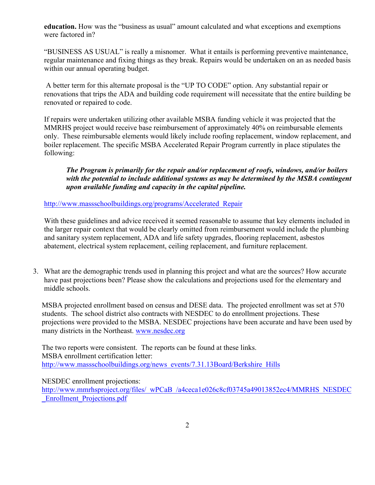**education.** How was the "business as usual" amount calculated and what exceptions and exemptions were factored in?

"BUSINESS AS USUAL" is really a misnomer. What it entails is performing preventive maintenance, regular maintenance and fixing things as they break. Repairs would be undertaken on an as needed basis within our annual operating budget.

A better term for this alternate proposal is the "UP TO CODE" option. Any substantial repair or renovations that trips the ADA and building code requirement will necessitate that the entire building be renovated or repaired to code.

If repairs were undertaken utilizing other available MSBA funding vehicle it was projected that the MMRHS project would receive base reimbursement of approximately 40% on reimbursable elements only. These reimbursable elements would likely include roofing replacement, window replacement, and boiler replacement. The specific MSBA Accelerated Repair Program currently in place stipulates the following:

*The Program is primarily for the repair and/or replacement of roofs, windows, and/or boilers with the potential to include additional systems as may be determined by the MSBA contingent upon available funding and capacity in the capital pipeline.*

http://www.massschoolbuildings.org/programs/Accelerated\_Repair

With these guidelines and advice received it seemed reasonable to assume that key elements included in the larger repair context that would be clearly omitted from reimbursement would include the plumbing and sanitary system replacement, ADA and life safety upgrades, flooring replacement, asbestos abatement, electrical system replacement, ceiling replacement, and furniture replacement.

3. What are the demographic trends used in planning this project and what are the sources? How accurate have past projections been? Please show the calculations and projections used for the elementary and middle schools.

MSBA projected enrollment based on census and DESE data. The projected enrollment was set at 570 students. The school district also contracts with NESDEC to do enrollment projections. These projections were provided to the MSBA. NESDEC projections have been accurate and have been used by many districts in the Northeast. www.nesdec.org

The two reports were consistent. The reports can be found at these links. MSBA enrollment certification letter: http://www.massschoolbuildings.org/news\_events/7.31.13Board/Berkshire\_Hills

NESDEC enrollment projections:

http://www.mmrhsproject.org/files/\_wPCaB\_/a4ceca1e026c8cf03745a49013852ec4/MMRHS\_NESDEC \_Enrollment\_Projections.pdf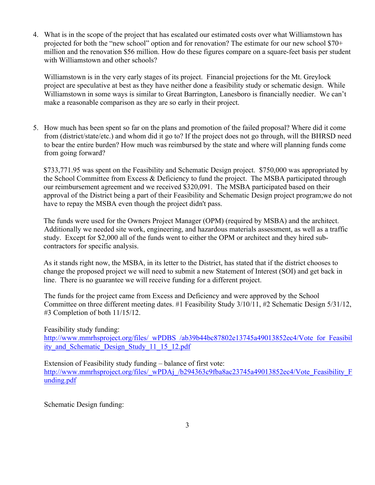4. What is in the scope of the project that has escalated our estimated costs over what Williamstown has projected for both the "new school" option and for renovation? The estimate for our new school \$70+ million and the renovation \$56 million. How do these figures compare on a square-feet basis per student with Williamstown and other schools?

Williamstown is in the very early stages of its project. Financial projections for the Mt. Greylock project are speculative at best as they have neither done a feasibility study or schematic design. While Williamstown in some ways is similar to Great Barrington, Lanesboro is financially needier. We can't make a reasonable comparison as they are so early in their project.

5. How much has been spent so far on the plans and promotion of the failed proposal? Where did it come from (district/state/etc.) and whom did it go to? If the project does not go through, will the BHRSD need to bear the entire burden? How much was reimbursed by the state and where will planning funds come from going forward?

\$733,771.95 was spent on the Feasibility and Schematic Design project. \$750,000 was appropriated by the School Committee from Excess & Deficiency to fund the project. The MSBA participated through our reimbursement agreement and we received \$320,091. The MSBA participated based on their approval of the District being a part of their Feasibility and Schematic Design project program;we do not have to repay the MSBA even though the project didn't pass.

The funds were used for the Owners Project Manager (OPM) (required by MSBA) and the architect. Additionally we needed site work, engineering, and hazardous materials assessment, as well as a traffic study. Except for \$2,000 all of the funds went to either the OPM or architect and they hired subcontractors for specific analysis.

As it stands right now, the MSBA, in its letter to the District, has stated that if the district chooses to change the proposed project we will need to submit a new Statement of Interest (SOI) and get back in line. There is no guarantee we will receive funding for a different project.

The funds for the project came from Excess and Deficiency and were approved by the School Committee on three different meeting dates. #1 Feasibility Study 3/10/11, #2 Schematic Design 5/31/12, #3 Completion of both 11/15/12.

Feasibility study funding:

http://www.mmrhsproject.org/files/\_wPDBS\_/ab39b44bc87802e13745a49013852ec4/Vote\_for\_Feasibil ity and Schematic Design Study 11 15 12.pdf

Extension of Feasibility study funding – balance of first vote: http://www.mmrhsproject.org/files/\_wPDAj\_/b294363c9fba8ac23745a49013852ec4/Vote\_Feasibility\_F unding.pdf

Schematic Design funding: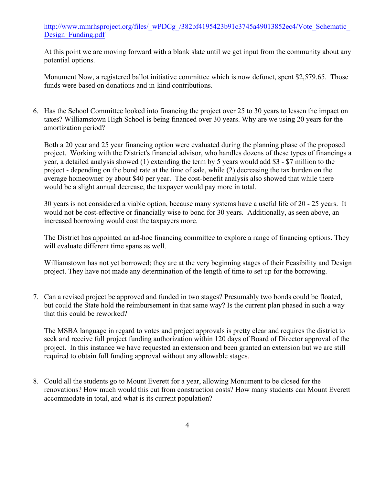http://www.mmrhsproject.org/files/\_wPDCg\_/382bf4195423b91c3745a49013852ec4/Vote\_Schematic\_ Design\_Funding.pdf

At this point we are moving forward with a blank slate until we get input from the community about any potential options.

Monument Now, a registered ballot initiative committee which is now defunct, spent \$2,579.65. Those funds were based on donations and in-kind contributions.

6. Has the School Committee looked into financing the project over 25 to 30 years to lessen the impact on taxes? Williamstown High School is being financed over 30 years. Why are we using 20 years for the amortization period?

Both a 20 year and 25 year financing option were evaluated during the planning phase of the proposed project. Working with the District's financial advisor, who handles dozens of these types of financings a year, a detailed analysis showed (1) extending the term by 5 years would add \$3 - \$7 million to the project - depending on the bond rate at the time of sale, while (2) decreasing the tax burden on the average homeowner by about \$40 per year. The cost-benefit analysis also showed that while there would be a slight annual decrease, the taxpayer would pay more in total.

30 years is not considered a viable option, because many systems have a useful life of 20 - 25 years. It would not be cost-effective or financially wise to bond for 30 years. Additionally, as seen above, an increased borrowing would cost the taxpayers more.

The District has appointed an ad-hoc financing committee to explore a range of financing options. They will evaluate different time spans as well.

Williamstown has not yet borrowed; they are at the very beginning stages of their Feasibility and Design project. They have not made any determination of the length of time to set up for the borrowing.

7. Can a revised project be approved and funded in two stages? Presumably two bonds could be floated, but could the State hold the reimbursement in that same way? Is the current plan phased in such a way that this could be reworked?

The MSBA language in regard to votes and project approvals is pretty clear and requires the district to seek and receive full project funding authorization within 120 days of Board of Director approval of the project. In this instance we have requested an extension and been granted an extension but we are still required to obtain full funding approval without any allowable stages.

8. Could all the students go to Mount Everett for a year, allowing Monument to be closed for the renovations? How much would this cut from construction costs? How many students can Mount Everett accommodate in total, and what is its current population?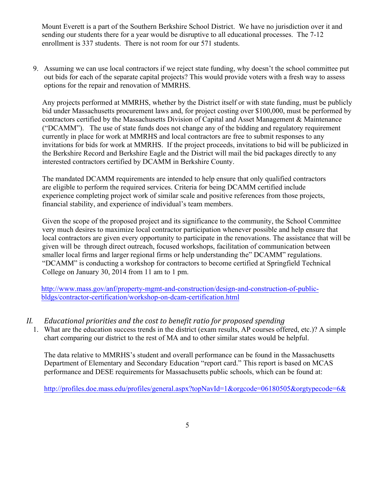Mount Everett is a part of the Southern Berkshire School District. We have no jurisdiction over it and sending our students there for a year would be disruptive to all educational processes. The 7-12 enrollment is 337 students. There is not room for our 571 students.

9. Assuming we can use local contractors if we reject state funding, why doesn't the school committee put out bids for each of the separate capital projects? This would provide voters with a fresh way to assess options for the repair and renovation of MMRHS.

Any projects performed at MMRHS, whether by the District itself or with state funding, must be publicly bid under Massachusetts procurement laws and, for project costing over \$100,000, must be performed by contractors certified by the Massachusetts Division of Capital and Asset Management & Maintenance ("DCAMM"). The use of state funds does not change any of the bidding and regulatory requirement currently in place for work at MMRHS and local contractors are free to submit responses to any invitations for bids for work at MMRHS. If the project proceeds, invitations to bid will be publicized in the Berkshire Record and Berkshire Eagle and the District will mail the bid packages directly to any interested contractors certified by DCAMM in Berkshire County.

The mandated DCAMM requirements are intended to help ensure that only qualified contractors are eligible to perform the required services. Criteria for being DCAMM certified include experience completing project work of similar scale and positive references from those projects, financial stability, and experience of individual's team members.

Given the scope of the proposed project and its significance to the community, the School Committee very much desires to maximize local contractor participation whenever possible and help ensure that local contractors are given every opportunity to participate in the renovations. The assistance that will be given will be through direct outreach, focused workshops, facilitation of communication between smaller local firms and larger regional firms or help understanding the" DCAMM" regulations. "DCAMM" is conducting a workshop for contractors to become certified at Springfield Technical College on January 30, 2014 from 11 am to 1 pm.

http://www.mass.gov/anf/property-mgmt-and-construction/design-and-construction-of-publicbldgs/contractor-certification/workshop-on-dcam-certification.html

#### *II. Educational priorities and the cost to benefit ratio for proposed spending*

1. What are the education success trends in the district (exam results, AP courses offered, etc.)? A simple chart comparing our district to the rest of MA and to other similar states would be helpful.

The data relative to MMRHS's student and overall performance can be found in the Massachusetts Department of Elementary and Secondary Education "report card." This report is based on MCAS performance and DESE requirements for Massachusetts public schools, which can be found at:

http://profiles.doe.mass.edu/profiles/general.aspx?topNavId=1&orgcode=06180505&orgtypecode=6&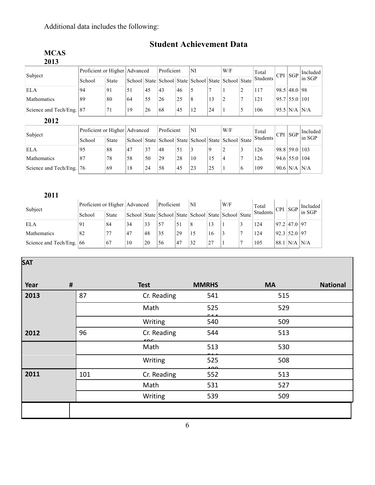Additional data includes the following:

| 2013                  |                               |              |    |    |                                                                 |    |    |    |                |   |                 |            |                |          |
|-----------------------|-------------------------------|--------------|----|----|-----------------------------------------------------------------|----|----|----|----------------|---|-----------------|------------|----------------|----------|
| Subject               | Proficient or Higher Advanced |              |    |    | Proficient                                                      |    | NI |    | W/F            |   | Total           | <b>CPI</b> | <b>SGP</b>     | Included |
|                       | School                        | <b>State</b> |    |    | School State   School   State   School   State   School   State |    |    |    |                |   | <b>Students</b> |            |                | in SGP   |
| <b>ELA</b>            | 94                            | 91           | 51 | 45 | 43                                                              | 46 | 5  |    | 1              | 2 | 117             | 98.5       | 48.0 98        |          |
| Mathematics           | 89                            | 80           | 64 | 55 | 26                                                              | 25 | 8  | 13 | 2              | 7 | 121             | 95.7       | 55.0           | 101      |
| Science and Tech/Eng. | 87                            | 71           | 19 | 26 | 68                                                              | 45 | 12 | 24 | 1              | 5 | 106             |            | $95.5$ N/A N/A |          |
| 2012                  |                               |              |    |    |                                                                 |    |    |    |                |   |                 |            |                |          |
| Subject               | Proficient or Higher Advanced |              |    |    | Proficient                                                      |    | NI |    | W/F            |   | Total           | <b>CPI</b> | <b>SGP</b>     | Included |
|                       | School                        | <b>State</b> |    |    | School State   School   State   School   State   School   State |    |    |    |                |   | <b>Students</b> |            |                | in SGP   |
| <b>ELA</b>            | 95                            | 88           | 47 | 37 | 48                                                              | 51 | 3  | 9  | 2              | 3 | 126             |            | $98.8$ 59.0    | 103      |
| Mathematics           | 87                            | 78           | 58 | 50 | 29                                                              | 28 | 10 | 15 | $\overline{4}$ | 7 | 126             |            | $94.6$ 55.0    | 104      |
| Science and Tech/Eng. | 76                            | 69           | 18 | 24 | 58                                                              | 45 | 23 | 25 | 1              | 6 | 109             |            | $90.6$ N/A N/A |          |

# **Student Achievement Data**

# **2011**

**MCAS**

| Subject                  | Proficient or Higher Advanced |              |     |    | Proficient                                          |     | NI |    | W/F |  | Total    | $ CPI $ $ SGP $ |              | Included |
|--------------------------|-------------------------------|--------------|-----|----|-----------------------------------------------------|-----|----|----|-----|--|----------|-----------------|--------------|----------|
|                          | School                        | <b>State</b> |     |    | School State School State School State School State |     |    |    |     |  | Students |                 |              | in SGP   |
| ELA                      | 91                            | 84           | 34  |    | 57                                                  | 51  | 8  | 13 |     |  | 124      |                 | 97.2 47.0 97 |          |
| Mathematics              | 82                            | 77           | .47 | 48 | 35                                                  | 29  | 15 | 16 |     |  | 124      |                 | 92.3 52.0 97 |          |
| Science and Tech/Eng. 66 |                               | -67          | 10  | 20 | 56                                                  | .47 | 32 |    |     |  | 105      | 88.1            | N/A          | N/A      |

**SAT**

| Year | # |     | <b>Test</b>       | <b>MMRHS</b>        | <b>MA</b> | <b>National</b> |
|------|---|-----|-------------------|---------------------|-----------|-----------------|
| 2013 |   | 87  | Cr. Reading       | 541                 | 515       |                 |
|      |   |     | Math              | 525                 | 529       |                 |
|      |   |     | Writing           | $\Gamma$ 4.4<br>540 | 509       |                 |
| 2012 |   | 96  | Cr. Reading<br>AC | 544                 | 513       |                 |
|      |   |     | Math              | 513                 | 530       |                 |
|      |   |     | Writing           | 525<br>ممم          | 508       |                 |
| 2011 |   | 101 | Cr. Reading       | 552                 | 513       |                 |
|      |   |     | Math              | 531                 | 527       |                 |
|      |   |     | Writing           | 539                 | 509       |                 |
|      |   |     |                   |                     |           |                 |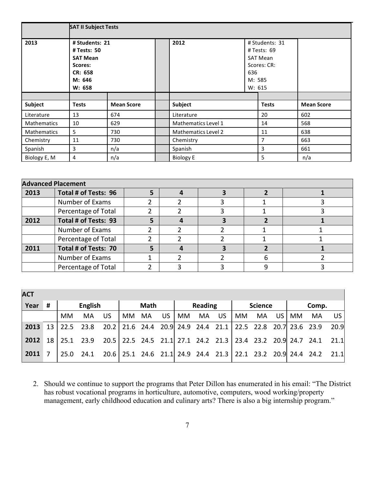|                    | <b>SAT II Subject Tests</b>                               |                   |  |                     |     |                                                    |                   |  |
|--------------------|-----------------------------------------------------------|-------------------|--|---------------------|-----|----------------------------------------------------|-------------------|--|
| 2013               | # Students: 21<br># Tests: 50                             |                   |  | 2012                |     |                                                    |                   |  |
|                    | <b>SAT Mean</b><br>Scores:<br>CR: 658<br>M: 646<br>W: 658 |                   |  |                     | 636 | <b>SAT Mean</b><br>Scores: CR:<br>M: 585<br>W: 615 |                   |  |
|                    |                                                           |                   |  |                     |     |                                                    |                   |  |
| Subject            | <b>Tests</b>                                              | <b>Mean Score</b> |  | Subject             |     | <b>Tests</b>                                       | <b>Mean Score</b> |  |
| Literature         | 13                                                        | 674               |  | Literature          | 20  |                                                    | 602               |  |
| <b>Mathematics</b> | 10                                                        | 629               |  | Mathematics Level 1 | 14  |                                                    | 568               |  |
| <b>Mathematics</b> | 5                                                         | 730               |  | Mathematics Level 2 |     | 11                                                 | 638               |  |
| Chemistry          | 11                                                        | 730               |  | Chemistry           | 7   |                                                    | 663               |  |
| Spanish            | 3                                                         | n/a               |  | Spanish             |     | 3                                                  | 661               |  |
| Biology E, M       | 4                                                         | n/a               |  | <b>Biology E</b>    |     | n/a                                                |                   |  |

|      | <b>Advanced Placement</b> |   |  |  |  |  |  |  |  |  |  |  |  |  |
|------|---------------------------|---|--|--|--|--|--|--|--|--|--|--|--|--|
| 2013 | Total # of Tests: 96      | 5 |  |  |  |  |  |  |  |  |  |  |  |  |
|      | Number of Exams           |   |  |  |  |  |  |  |  |  |  |  |  |  |
|      | Percentage of Total       |   |  |  |  |  |  |  |  |  |  |  |  |  |
| 2012 | Total # of Tests: 93      |   |  |  |  |  |  |  |  |  |  |  |  |  |
|      | Number of Exams           |   |  |  |  |  |  |  |  |  |  |  |  |  |
|      | Percentage of Total       |   |  |  |  |  |  |  |  |  |  |  |  |  |
| 2011 | Total # of Tests: 70      | 5 |  |  |  |  |  |  |  |  |  |  |  |  |
|      | Number of Exams           |   |  |  |  |  |  |  |  |  |  |  |  |  |
|      | Percentage of Total       |   |  |  |  |  |  |  |  |  |  |  |  |  |

 $ACT$ 

| 89 I |    |      |                |    |                                                              |             |     |    |                |     |    |                          |     |    |       |           |
|------|----|------|----------------|----|--------------------------------------------------------------|-------------|-----|----|----------------|-----|----|--------------------------|-----|----|-------|-----------|
| Year | #  |      | <b>English</b> |    |                                                              | <b>Math</b> |     |    | <b>Reading</b> |     |    | <b>Science</b>           |     |    | Comp. |           |
|      |    | МM   | MA             | US | MM.                                                          | MA          | US. | МM | MA             | US. | MМ | MA                       | US. | MМ | MA    | <b>US</b> |
| 2013 | 13 | 22.5 | 23.8           |    | 20.2 21.6 24.4 20.9 24.9 24.4 21.1                           |             |     |    |                |     |    | 22.5 22.8 20.7 23.6 23.9 |     |    |       | 20.9      |
| 2012 | 18 | 25.1 | 23.9           |    | 20.5   22.5 24.5 21.1   27.1 24.2 21.3   23.4 23.2 20.9 24.7 |             |     |    |                |     |    |                          |     |    | 24.1  | 21.1l     |
| 2011 |    | 25.0 | 24.1           |    | 20.6   25.1 24.6 21.1   24.9 24.4 21.3   22.1 23.2 20.9 24.4 |             |     |    |                |     |    |                          |     |    | 24.2  | 21.1      |

2. Should we continue to support the programs that Peter Dillon has enumerated in his email: "The District has robust vocational programs in horticulture, automotive, computers, wood working/property management, early childhood education and culinary arts? There is also a big internship program."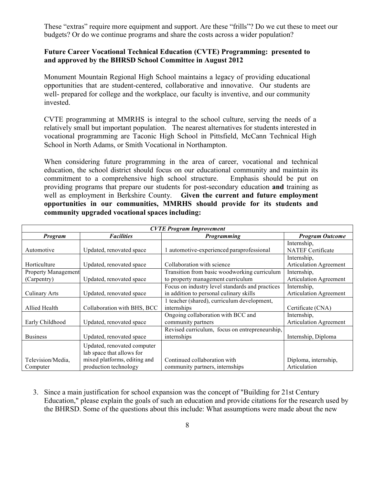These "extras" require more equipment and support. Are these "frills"? Do we cut these to meet our budgets? Or do we continue programs and share the costs across a wider population?

#### **Future Career Vocational Technical Education (CVTE) Programming: presented to and approved by the BHRSD School Committee in August 2012**

Monument Mountain Regional High School maintains a legacy of providing educational opportunities that are student-centered, collaborative and innovative. Our students are well- prepared for college and the workplace, our faculty is inventive, and our community invested.

CVTE programming at MMRHS is integral to the school culture, serving the needs of a relatively small but important population. The nearest alternatives for students interested in vocational programming are Taconic High School in Pittsfield, McCann Technical High School in North Adams, or Smith Vocational in Northampton.

When considering future programming in the area of career, vocational and technical education, the school district should focus on our educational community and maintain its commitment to a comprehensive high school structure. Emphasis should be put on providing programs that prepare our students for post-secondary education **and** training as well as employment in Berkshire County. **Given the current and future employment opportunities in our communities, MMRHS should provide for its students and community upgraded vocational spaces including:**

| <b>CVTE Program Improvement</b> |                              |                                                 |                               |  |  |  |  |  |  |  |  |
|---------------------------------|------------------------------|-------------------------------------------------|-------------------------------|--|--|--|--|--|--|--|--|
| Program                         | <b>Facilities</b>            | <b>Programming</b>                              | <b>Program Outcome</b>        |  |  |  |  |  |  |  |  |
|                                 |                              |                                                 | Internship,                   |  |  |  |  |  |  |  |  |
| Automotive                      | Updated, renovated space     | automotive-experienced paraprofessional         | <b>NATEF Certificate</b>      |  |  |  |  |  |  |  |  |
|                                 |                              |                                                 | Internship.                   |  |  |  |  |  |  |  |  |
| Horticulture                    | Updated, renovated space     | Collaboration with science                      | <b>Articulation Agreement</b> |  |  |  |  |  |  |  |  |
| <b>Property Management</b>      |                              | Transition from basic woodworking curriculum    | Internship.                   |  |  |  |  |  |  |  |  |
| (Carpentry)                     | Updated, renovated space     | to property management curriculum               | <b>Articulation Agreement</b> |  |  |  |  |  |  |  |  |
|                                 |                              | Focus on industry level standards and practices | Internship,                   |  |  |  |  |  |  |  |  |
| Culinary Arts                   | Updated, renovated space     | in addition to personal culinary skills         | <b>Articulation Agreement</b> |  |  |  |  |  |  |  |  |
|                                 |                              | 1 teacher (shared), curriculum development,     |                               |  |  |  |  |  |  |  |  |
| Allied Health                   | Collaboration with BHS, BCC  | internships                                     | Certificate (CNA)             |  |  |  |  |  |  |  |  |
|                                 |                              | Ongoing collaboration with BCC and              | Internship,                   |  |  |  |  |  |  |  |  |
| Early Childhood                 | Updated, renovated space     | community partners                              | <b>Articulation Agreement</b> |  |  |  |  |  |  |  |  |
|                                 |                              | Revised curriculum, focus on entrepreneurship,  |                               |  |  |  |  |  |  |  |  |
| <b>Business</b>                 | Updated, renovated space     | internships                                     | Internship, Diploma           |  |  |  |  |  |  |  |  |
|                                 | Updated, renovated computer  |                                                 |                               |  |  |  |  |  |  |  |  |
|                                 | lab space that allows for    |                                                 |                               |  |  |  |  |  |  |  |  |
| Television/Media,               | mixed platforms, editing and | Continued collaboration with                    | Diploma, internship,          |  |  |  |  |  |  |  |  |
| Computer                        | production technology        | community partners, internships                 | Articulation                  |  |  |  |  |  |  |  |  |

3. Since a main justification for school expansion was the concept of "Building for 21st Century Education," please explain the goals of such an education and provide citations for the research used by the BHRSD. Some of the questions about this include: What assumptions were made about the new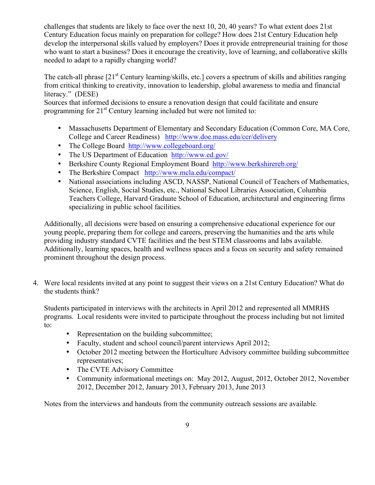challenges that students are likely to face over the next 10, 20, 40 years? To what extent does 21st Century Education focus mainly on preparation for college? How does 21st Century Education help develop the interpersonal skills valued by employers? Does it provide entrepreneurial training for those who want to start a business? Does it encourage the creativity, love of learning, and collaborative skills needed to adapt to a rapidly changing world?

The catch-all phrase  $[2]^{st}$  Century learning/skills, etc.] covers a spectrum of skills and abilities ranging from critical thinking to creativity, innovation to leadership, global awareness to media and financial literacy." (DESE)

Sources that informed decisions to ensure a renovation design that could facilitate and ensure programming for 21st Century learning included but were not limited to:

- Massachusetts Department of Elementary and Secondary Education (Common Core, MA Core, College and Career Readiness) http://www.doe.mass.edu/ccr/delivery
- The College Board http://www.collegeboard.org/
- The US Department of Education http://www.ed.gov/
- Berkshire County Regional Employment Board http://www.berkshirereb.org/
- The Berkshire Compact http://www.mcla.edu/compact/
- National associations including ASCD, NASSP, National Council of Teachers of Mathematics, Science, English, Social Studies, etc., National School Libraries Association, Columbia Teachers College, Harvard Graduate School of Education, architectural and engineering firms specializing in public school facilities.

Additionally, all decisions were based on ensuring a comprehensive educational experience for our young people, preparing them for college and careers, preserving the humanities and the arts while providing industry standard CVTE facilities and the best STEM classrooms and labs available. Additionally, learning spaces, health and wellness spaces and a focus on security and safety remained prominent throughout the design process.

4. Were local residents invited at any point to suggest their views on a 21st Century Education? What do the students think?

Students participated in interviews with the architects in April 2012 and represented all MMRHS programs. Local residents were invited to participate throughout the process including but not limited to:

- Representation on the building subcommittee;
- Faculty, student and school council/parent interviews April 2012;
- October 2012 meeting between the Horticulture Advisory committee building subcommittee representatives;
- The CVTE Advisory Committee
- Community informational meetings on: May 2012, August, 2012, October 2012, November 2012, December 2012, January 2013, February 2013, June 2013

Notes from the interviews and handouts from the community outreach sessions are available.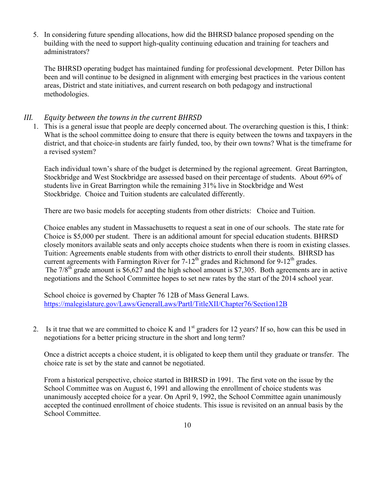5. In considering future spending allocations, how did the BHRSD balance proposed spending on the building with the need to support high-quality continuing education and training for teachers and administrators?

The BHRSD operating budget has maintained funding for professional development. Peter Dillon has been and will continue to be designed in alignment with emerging best practices in the various content areas, District and state initiatives, and current research on both pedagogy and instructional methodologies.

#### *III. Equity between the towns in the current BHRSD*

1. This is a general issue that people are deeply concerned about. The overarching question is this, I think: What is the school committee doing to ensure that there is equity between the towns and taxpayers in the district, and that choice-in students are fairly funded, too, by their own towns? What is the timeframe for a revised system?

Each individual town's share of the budget is determined by the regional agreement. Great Barrington, Stockbridge and West Stockbridge are assessed based on their percentage of students. About 69% of students live in Great Barrington while the remaining 31% live in Stockbridge and West Stockbridge. Choice and Tuition students are calculated differently.

There are two basic models for accepting students from other districts: Choice and Tuition.

Choice enables any student in Massachusetts to request a seat in one of our schools. The state rate for Choice is \$5,000 per student. There is an additional amount for special education students. BHRSD closely monitors available seats and only accepts choice students when there is room in existing classes. Tuition: Agreements enable students from with other districts to enroll their students. BHRSD has current agreements with Farmington River for  $7-12^{th}$  grades and Richmond for  $9-12^{th}$  grades. The  $7/8<sup>th</sup>$  grade amount is \$6,627 and the high school amount is \$7,305. Both agreements are in active negotiations and the School Committee hopes to set new rates by the start of the 2014 school year.

School choice is governed by Chapter 76 12B of Mass General Laws. https://malegislature.gov/Laws/GeneralLaws/PartI/TitleXII/Chapter76/Section12B

2. Is it true that we are committed to choice K and 1<sup>st</sup> graders for 12 years? If so, how can this be used in negotiations for a better pricing structure in the short and long term?

Once a district accepts a choice student, it is obligated to keep them until they graduate or transfer. The choice rate is set by the state and cannot be negotiated.

From a historical perspective, choice started in BHRSD in 1991. The first vote on the issue by the School Committee was on August 6, 1991 and allowing the enrollment of choice students was unanimously accepted choice for a year. On April 9, 1992, the School Committee again unanimously accepted the continued enrollment of choice students. This issue is revisited on an annual basis by the School Committee.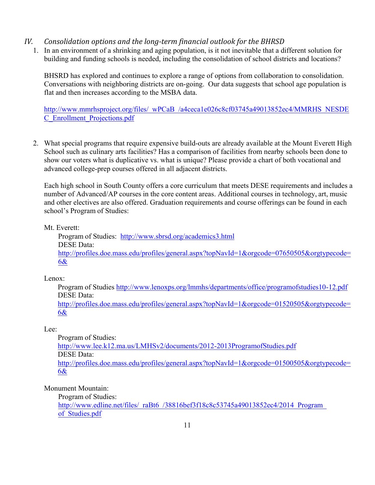### *IV.* Consolidation options and the long-term financial outlook for the BHRSD

1. In an environment of a shrinking and aging population, is it not inevitable that a different solution for building and funding schools is needed, including the consolidation of school districts and locations?

BHSRD has explored and continues to explore a range of options from collaboration to consolidation. Conversations with neighboring districts are on-going. Our data suggests that school age population is flat and then increases according to the MSBA data.

http://www.mmrhsproject.org/files/\_wPCaB\_/a4ceca1e026c8cf03745a49013852ec4/MMRHS\_NESDE C\_Enrollment\_Projections.pdf

2. What special programs that require expensive build-outs are already available at the Mount Everett High School such as culinary arts facilities? Has a comparison of facilities from nearby schools been done to show our voters what is duplicative vs. what is unique? Please provide a chart of both vocational and advanced college-prep courses offered in all adjacent districts.

Each high school in South County offers a core curriculum that meets DESE requirements and includes a number of Advanced/AP courses in the core content areas. Additional courses in technology, art, music and other electives are also offered. Graduation requirements and course offerings can be found in each school's Program of Studies:

Mt. Everett:

Program of Studies: http://www.sbrsd.org/academics3.html DESE Data: http://profiles.doe.mass.edu/profiles/general.aspx?topNavId=1&orgcode=07650505&orgtypecode= 6&

Lenox:

Program of Studies http://www.lenoxps.org/lmmhs/departments/office/programofstudies10-12.pdf DESE Data: http://profiles.doe.mass.edu/profiles/general.aspx?topNavId=1&orgcode=01520505&orgtypecode= 6&

Lee:

Program of Studies: http://www.lee.k12.ma.us/LMHSv2/documents/2012-2013ProgramofStudies.pdf DESE Data: http://profiles.doe.mass.edu/profiles/general.aspx?topNavId=1&orgcode=01500505&orgtypecode= 6&

Monument Mountain:

Program of Studies: http://www.edline.net/files/\_raBt6\_/38816bef3f18c8c53745a49013852ec4/2014\_Program of\_Studies.pdf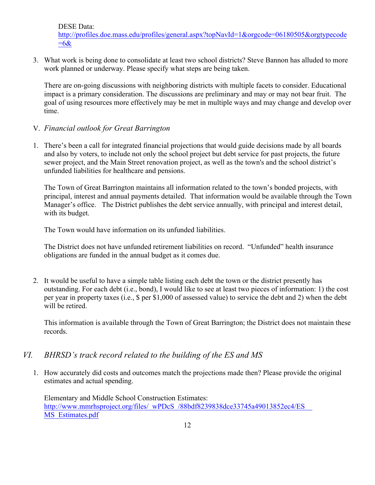DESE Data:

http://profiles.doe.mass.edu/profiles/general.aspx?topNavId=1&orgcode=06180505&orgtypecode  $=6&$ 

3. What work is being done to consolidate at least two school districts? Steve Bannon has alluded to more work planned or underway. Please specify what steps are being taken.

There are on-going discussions with neighboring districts with multiple facets to consider. Educational impact is a primary consideration. The discussions are preliminary and may or may not bear fruit. The goal of using resources more effectively may be met in multiple ways and may change and develop over time.

#### V. *Financial outlook for Great Barrington*

1. There's been a call for integrated financial projections that would guide decisions made by all boards and also by voters, to include not only the school project but debt service for past projects, the future sewer project, and the Main Street renovation project, as well as the town's and the school district's unfunded liabilities for healthcare and pensions.

The Town of Great Barrington maintains all information related to the town's bonded projects, with principal, interest and annual payments detailed. That information would be available through the Town Manager's office. The District publishes the debt service annually, with principal and interest detail, with its budget.

The Town would have information on its unfunded liabilities.

The District does not have unfunded retirement liabilities on record. "Unfunded" health insurance obligations are funded in the annual budget as it comes due.

2. It would be useful to have a simple table listing each debt the town or the district presently has outstanding. For each debt (i.e., bond), I would like to see at least two pieces of information: 1) the cost per year in property taxes (i.e., \$ per \$1,000 of assessed value) to service the debt and 2) when the debt will be retired.

This information is available through the Town of Great Barrington; the District does not maintain these records.

## *VI. BHRSD's track record related to the building of the ES and MS*

1. How accurately did costs and outcomes match the projections made then? Please provide the original estimates and actual spending.

Elementary and Middle School Construction Estimates: http://www.mmrhsproject.org/files/\_wPDcS\_/88bdf8239838dce33745a49013852ec4/ES MS Estimates.pdf